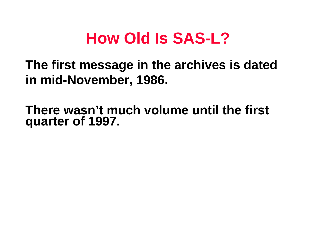### **How Old Is SAS-L?**

**The first message in the archives is dated in mid-November, 1986.**

**There wasn't much volume until the first quarter of 1997.**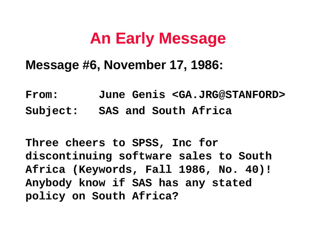## **An Early Message**

#### **Message #6, November 17, 1986:**

**From: June Genis <GA.JRG@STANFORD> Subject: SAS and South Africa**

**Three cheers to SPSS, Inc for discontinuing software sales to South Africa (Keywords, Fall 1986, No. 40)! Anybody know if SAS has any stated policy on South Africa?**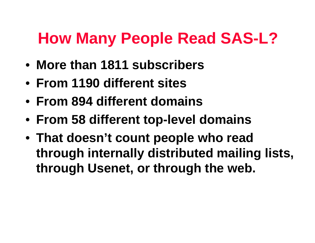# **How Many People Read SAS-L?**

- **More than 1811 subscribers**
- **From 1190 different sites**
- **From 894 different domains**
- **From 58 different top-level domains**
- **That doesn't count people who read through internally distributed mailing lists, through Usenet, or through the web.**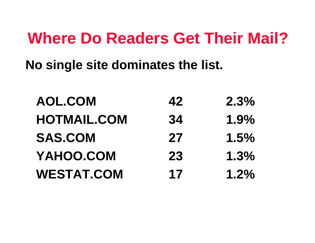#### **Where Do Readers Get Their Mail?**

**No single site dominates the list.**

| <b>AOL.COM</b>     | 42 | 2.3%    |
|--------------------|----|---------|
| <b>HOTMAIL.COM</b> | 34 | 1.9%    |
| <b>SAS.COM</b>     | 27 | 1.5%    |
| YAHOO.COM          | 23 | 1.3%    |
| <b>WESTAT.COM</b>  | 17 | $1.2\%$ |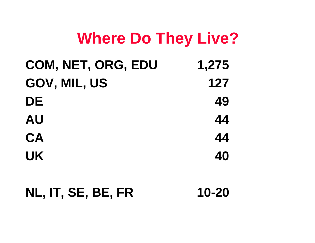### **Where Do They Live?**

| COM, NET, ORG, EDU | 1,275 |
|--------------------|-------|
| GOV, MIL, US       | 127   |
| DE                 | 49    |
| <b>AU</b>          | 44    |
| <b>CA</b>          | 44    |
| <b>UK</b>          | 40    |

#### **NL, IT, SE, BE, FR 10-20**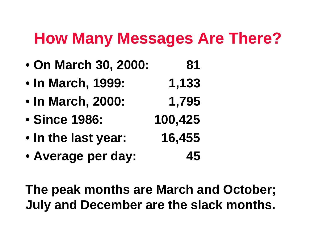#### **How Many Messages Are There?**

- • **On March 30, 2000: 81**
- • **In March, 1999: 1,133**
- • **In March, 2000: 1,795**
- • **Since 1986: 100,425**
- • **In the last year: 16,455**
- • **Average per day: 45**

**The peak months are March and October; July and December are the slack months.**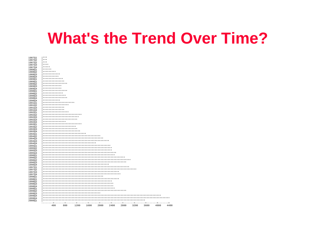#### **What's the Trend Over Time?**

| 199903<br>199904<br>199904<br>200001 |                                      |
|--------------------------------------|--------------------------------------|
|                                      |                                      |
|                                      |                                      |
|                                      |                                      |
|                                      |                                      |
|                                      |                                      |
|                                      |                                      |
|                                      |                                      |
|                                      |                                      |
|                                      |                                      |
|                                      |                                      |
|                                      |                                      |
|                                      |                                      |
|                                      |                                      |
|                                      |                                      |
|                                      |                                      |
|                                      |                                      |
|                                      |                                      |
|                                      |                                      |
|                                      |                                      |
|                                      |                                      |
|                                      |                                      |
|                                      |                                      |
|                                      |                                      |
|                                      |                                      |
|                                      |                                      |
|                                      | ************************************ |
|                                      |                                      |
|                                      |                                      |
|                                      |                                      |
|                                      | *****************************        |
|                                      | **************************           |
|                                      | ************************             |
|                                      | **********************               |
|                                      | ***************************          |
|                                      | ****************                     |
|                                      | ***********************              |
|                                      | *************************            |
|                                      | **************************           |
|                                      | ******************                   |
|                                      | ***************                      |
|                                      | ***************                      |
|                                      |                                      |
|                                      | ******************                   |
|                                      | **********************               |
|                                      | ************                         |
|                                      | *****************                    |
|                                      | ****************                     |
|                                      | **************                       |
|                                      | *****************                    |
|                                      | *************                        |
|                                      | *************                        |
|                                      | *****************                    |
|                                      | ***************                      |
|                                      | **************                       |
|                                      | ***********                          |
|                                      | ************                         |
|                                      | *********                            |
|                                      | ******                               |
|                                      | *****                                |
|                                      | $***$                                |
|                                      | $***$                                |
|                                      | $***$                                |
|                                      |                                      |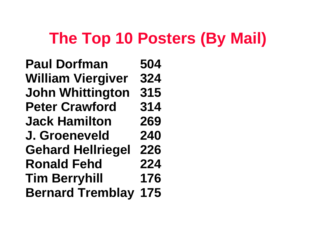## **The Top 10 Posters (By Mail)**

**Paul Dorfman 504 William Viergiver 324 John Whittington 315 Peter Crawford 314 Jack Hamilton 269 J. Groeneveld 240 Gehard Hellriegel 226 Ronald Fehd 224 Tim Berryhill 176 Bernard Tremblay 175**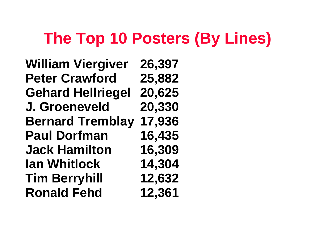# **The Top 10 Posters (By Lines)**

**William Viergiver 26,397 Peter Crawford 25,882 Gehard Hellriegel 20,625 J. Groeneveld 20,330 Bernard Tremblay 17,936 Paul Dorfman 16,435 Jack Hamilton 16,309 Ian Whitlock 14,304 Tim Berryhill 12,632 Ronald Fehd 12,361**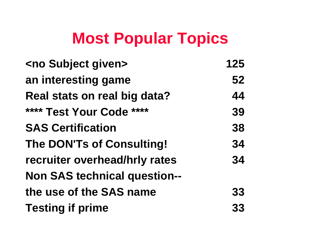# **Most Popular Topics**

| <no given="" subject=""></no>       | 125 |
|-------------------------------------|-----|
| an interesting game                 | 52  |
| Real stats on real big data?        | 44  |
| **** Test Your Code ****            | 39  |
| <b>SAS Certification</b>            | 38  |
| <b>The DON'Ts of Consulting!</b>    | 34  |
| recruiter overhead/hrly rates       | 34  |
| <b>Non SAS technical question--</b> |     |
| the use of the SAS name             | 33  |
| <b>Testing if prime</b>             | 33  |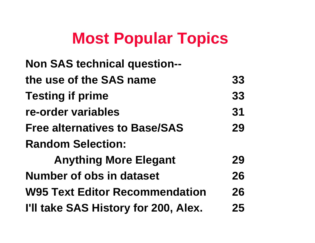# **Most Popular Topics**

| <b>Non SAS technical question--</b>   |    |
|---------------------------------------|----|
| the use of the SAS name               | 33 |
| <b>Testing if prime</b>               | 33 |
| re-order variables                    | 31 |
| <b>Free alternatives to Base/SAS</b>  | 29 |
| <b>Random Selection:</b>              |    |
| <b>Anything More Elegant</b>          | 29 |
| Number of obs in dataset              | 26 |
| <b>W95 Text Editor Recommendation</b> | 26 |
| I'll take SAS History for 200, Alex.  | 25 |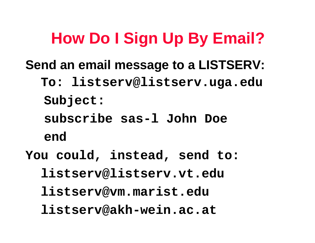# **How Do I Sign Up By Email?**

- **Send an email message to a LISTSERV:**
	- **To: listserv@listserv.uga.edu Subject:**
		- **subscribe sas-l John Doe**
		- **end**
- **You could, instead, send to:**
	- **listserv@listserv.vt.edu**
	- **listserv@vm.marist.edu**
	- **listserv@akh-wein.ac.at**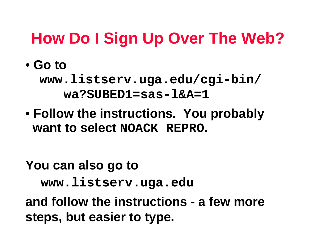# **How Do I Sign Up Over The Web?**

• **Go to**

 **www.listserv.uga.edu/cgi-bin/ wa?SUBED1=sas-l&A=1**

• **Follow the instructions. You probably want to select NOACK REPRO.**

**You can also go to www.listserv.uga.edu and follow the instructions - a few more steps, but easier to type.**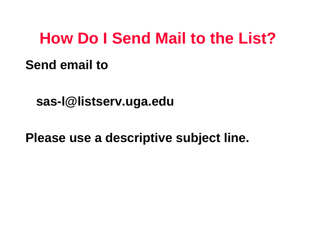#### **How Do I Send Mail to the List?**

#### **Send email to**

 **sas-l@listserv.uga.edu**

**Please use a descriptive subject line.**